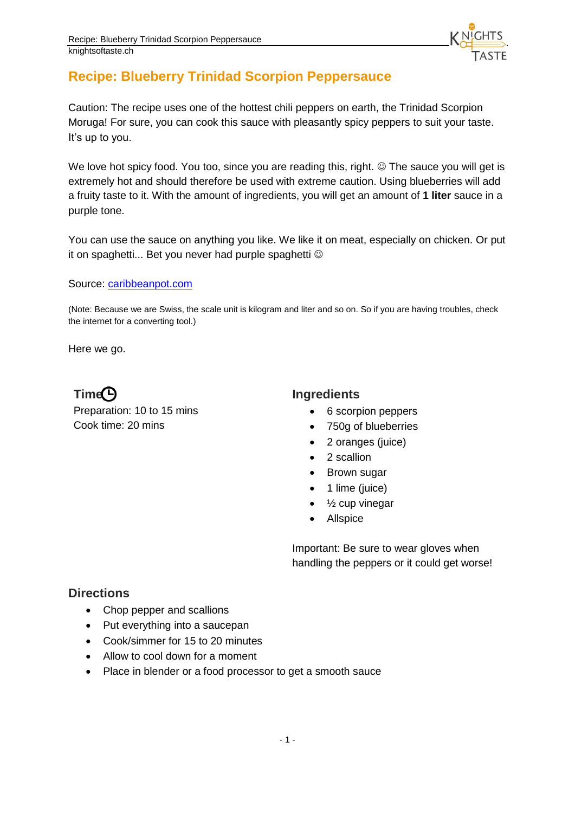

# **Recipe: Blueberry Trinidad Scorpion Peppersauce**

Caution: The recipe uses one of the hottest chili peppers on earth, the Trinidad Scorpion Moruga! For sure, you can cook this sauce with pleasantly spicy peppers to suit your taste. It's up to you.

We love hot spicy food. You too, since you are reading this, right.  $\odot$  The sauce you will get is extremely hot and should therefore be used with extreme caution. Using blueberries will add a fruity taste to it. With the amount of ingredients, you will get an amount of **1 liter** sauce in a purple tone.

You can use the sauce on anything you like. We like it on meat, especially on chicken. Or put it on spaghetti... Bet you never had purple spaghetti

Source:<caribbeanpot.com>

(Note: Because we are Swiss, the scale unit is kilogram and liter and so on. So if you are having troubles, check the internet for a converting tool.)

Here we go.

**Time Ingredients** Preparation: 10 to 15 mins Cook time: 20 mins

- 6 scorpion peppers
- 750g of blueberries
- 2 oranges (juice)
- 2 scallion
- Brown sugar
- 1 lime (juice)
- $\bullet$   $\frac{1}{2}$  cup vinegar
- Allspice

Important: Be sure to wear gloves when handling the peppers or it could get worse!

#### **Directions**

- Chop pepper and scallions
- Put everything into a saucepan
- Cook/simmer for 15 to 20 minutes
- Allow to cool down for a moment
- Place in blender or a food processor to get a smooth sauce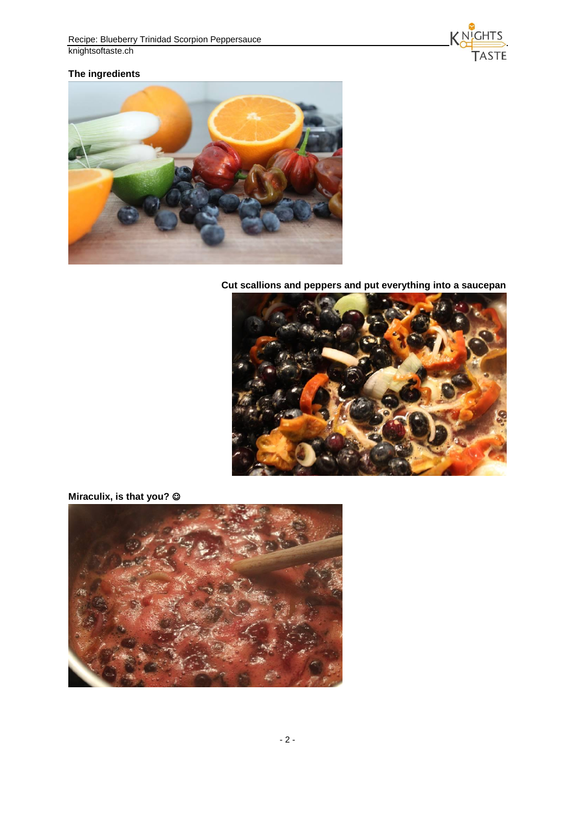

## **The ingredients**



**Cut scallions and peppers and put everything into a saucepan**



## **Miraculix, is that you?**